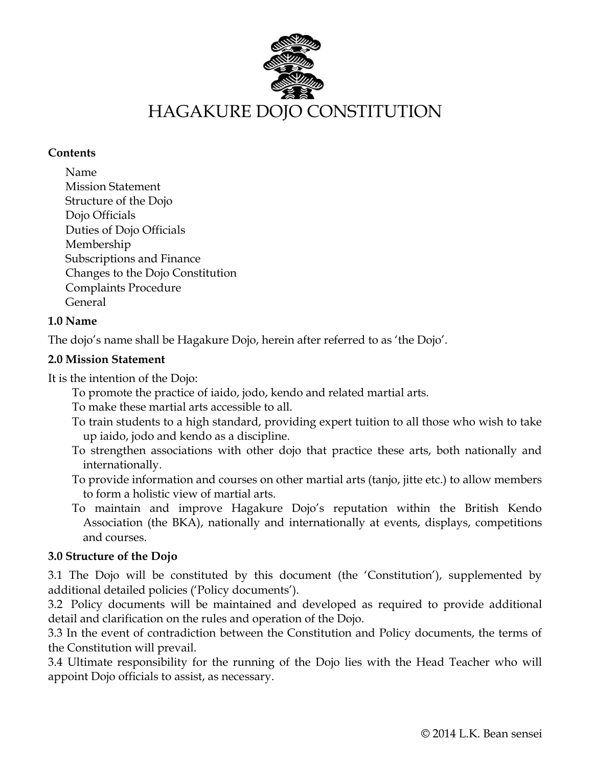

#### **Contents**

Name Mission Statement Structure of the Dojo Dojo Officials Duties of Dojo Officials Membership Subscriptions and Finance Changes to the Dojo Constitution Complaints Procedure General

### **1.0 Name**

The dojo's name shall be Hagakure Dojo, herein after referred to as 'the Dojo'.

## **2.0 Mission Statement**

It is the intention of the Dojo:

- To promote the practice of iaido, jodo, kendo and related martial arts.
- To make these martial arts accessible to all.
- To train students to a high standard, providing expert tuition to all those who wish to take up iaido, jodo and kendo as a discipline.
- To strengthen associations with other dojo that practice these arts, both nationally and internationally.
- To provide information and courses on other martial arts (tanjo, jitte etc.) to allow members to form a holistic view of martial arts.
- To maintain and improve Hagakure Dojo's reputation within the British Kendo Association (the BKA), nationally and internationally at events, displays, competitions and courses.

# **3.0 Structure of the Dojo**

3.1 The Dojo will be constituted by this document (the 'Constitution'), supplemented by additional detailed policies ('Policy documents').

3.2 Policy documents will be maintained and developed as required to provide additional detail and clarification on the rules and operation of the Dojo.

3.3 In the event of contradiction between the Constitution and Policy documents, the terms of the Constitution will prevail.

3.4 Ultimate responsibility for the running of the Dojo lies with the Head Teacher who will appoint Dojo officials to assist, as necessary.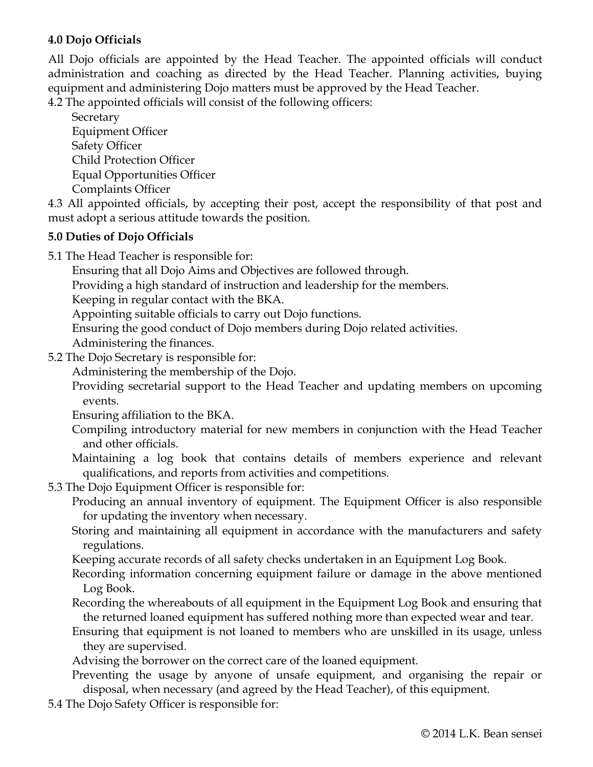### **4.0 Dojo Officials**

All Dojo officials are appointed by the Head Teacher. The appointed officials will conduct administration and coaching as directed by the Head Teacher. Planning activities, buying equipment and administering Dojo matters must be approved by the Head Teacher.

4.2 The appointed officials will consist of the following officers:

**Secretary** Equipment Officer Safety Officer Child Protection Officer Equal Opportunities Officer Complaints Officer

4.3 All appointed officials, by accepting their post, accept the responsibility of that post and must adopt a serious attitude towards the position.

### **5.0 Duties of Dojo Officials**

5.1 The Head Teacher is responsible for:

Ensuring that all Dojo Aims and Objectives are followed through.

Providing a high standard of instruction and leadership for the members.

Keeping in regular contact with the BKA.

Appointing suitable officials to carry out Dojo functions.

Ensuring the good conduct of Dojo members during Dojo related activities.

Administering the finances.

5.2 The Dojo Secretary is responsible for:

Administering the membership of the Dojo.

Providing secretarial support to the Head Teacher and updating members on upcoming events.

Ensuring affiliation to the BKA.

- Compiling introductory material for new members in conjunction with the Head Teacher and other officials.
- Maintaining a log book that contains details of members experience and relevant qualifications, and reports from activities and competitions.
- 5.3 The Dojo Equipment Officer is responsible for:

Producing an annual inventory of equipment. The Equipment Officer is also responsible for updating the inventory when necessary.

- Storing and maintaining all equipment in accordance with the manufacturers and safety regulations.
- Keeping accurate records of all safety checks undertaken in an Equipment Log Book.

Recording information concerning equipment failure or damage in the above mentioned Log Book.

- Recording the whereabouts of all equipment in the Equipment Log Book and ensuring that the returned loaned equipment has suffered nothing more than expected wear and tear.
- Ensuring that equipment is not loaned to members who are unskilled in its usage, unless they are supervised.
- Advising the borrower on the correct care of the loaned equipment.
- Preventing the usage by anyone of unsafe equipment, and organising the repair or disposal, when necessary (and agreed by the Head Teacher), of this equipment.
- 5.4 The Dojo Safety Officer is responsible for: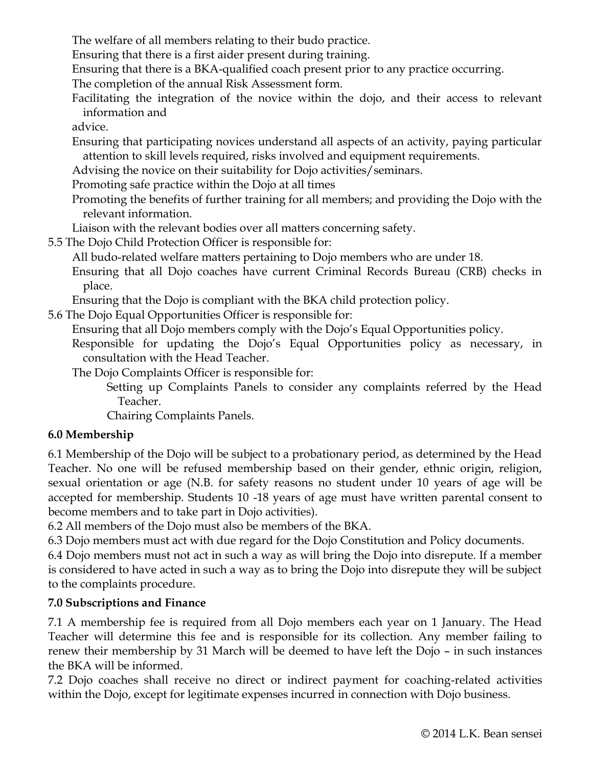The welfare of all members relating to their budo practice.

Ensuring that there is a first aider present during training.

Ensuring that there is a BKA-qualified coach present prior to any practice occurring.

The completion of the annual Risk Assessment form.

Facilitating the integration of the novice within the dojo, and their access to relevant information and

advice.

Ensuring that participating novices understand all aspects of an activity, paying particular attention to skill levels required, risks involved and equipment requirements.

Advising the novice on their suitability for Dojo activities/seminars.

Promoting safe practice within the Dojo at all times

- Promoting the benefits of further training for all members; and providing the Dojo with the relevant information.
- Liaison with the relevant bodies over all matters concerning safety.
- 5.5 The Dojo Child Protection Officer is responsible for:

All budo-related welfare matters pertaining to Dojo members who are under 18.

Ensuring that all Dojo coaches have current Criminal Records Bureau (CRB) checks in place.

Ensuring that the Dojo is compliant with the BKA child protection policy.

5.6 The Dojo Equal Opportunities Officer is responsible for:

Ensuring that all Dojo members comply with the Dojo's Equal Opportunities policy.

Responsible for updating the Dojo's Equal Opportunities policy as necessary, in consultation with the Head Teacher.

The Dojo Complaints Officer is responsible for:

Setting up Complaints Panels to consider any complaints referred by the Head Teacher.

Chairing Complaints Panels.

# **6.0 Membership**

6.1 Membership of the Dojo will be subject to a probationary period, as determined by the Head Teacher. No one will be refused membership based on their gender, ethnic origin, religion, sexual orientation or age (N.B. for safety reasons no student under 10 years of age will be accepted for membership. Students 10 -18 years of age must have written parental consent to become members and to take part in Dojo activities).

6.2 All members of the Dojo must also be members of the BKA.

6.3 Dojo members must act with due regard for the Dojo Constitution and Policy documents.

6.4 Dojo members must not act in such a way as will bring the Dojo into disrepute. If a member is considered to have acted in such a way as to bring the Dojo into disrepute they will be subject to the complaints procedure.

# **7.0 Subscriptions and Finance**

7.1 A membership fee is required from all Dojo members each year on 1 January. The Head Teacher will determine this fee and is responsible for its collection. Any member failing to renew their membership by 31 March will be deemed to have left the Dojo – in such instances the BKA will be informed.

7.2 Dojo coaches shall receive no direct or indirect payment for coaching-related activities within the Dojo, except for legitimate expenses incurred in connection with Dojo business.